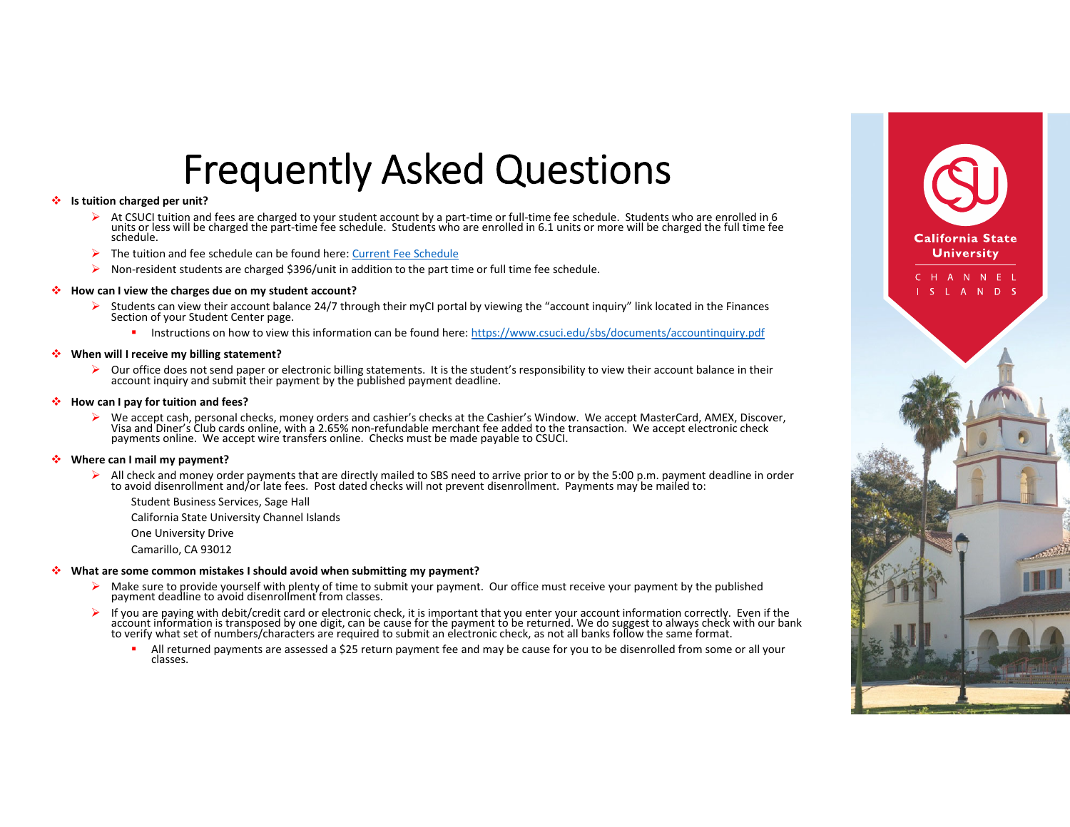## Frequently Asked Questions

#### ٠ **Is tuition charged per unit?**

- At CSUCI tuition and fees are charged to your student account by <sup>a</sup> part‐time or full‐time fee schedule. Students who are enrolled in 6 units or less will be charged the part-time fee schedule. Students who are enrolled in 6.1 units or more will be charged the full time fee<br>schedule.
- $\blacktriangleright$ The tuition and fee schedule can be found here: Current Fee Schedule
- $\blacktriangleright$ Non‐resident students are charged \$396/unit in addition to the part time or full time fee schedule.

#### ٠ **How can I view the charges due on my student account?**

- ➤ Students can view their account balance 24/7 through their myCI portal by viewing the "account inquiry" link located in the Finances Section of your Student Center page.
	- л. **Instructions on how to view this information can be found here:** https://www.csuci.edu/sbs/documents/accountinquiry.pdf

#### $\mathcal{L}_{\mathcal{P}}$ **When will I receive my billing statement?**

 $\triangleright$  Our office does not send paper or electronic billing statements. It is the student's responsibility to view their account balance in their account inquiry and submit their payment by the published payment deadline.

#### 樂 **How can I pay for tuition and fees?**

 $\blacktriangleright$  We accept cash, personal checks, money orders and cashier's checks at the Cashier's Window. We accept MasterCard, AMEX, Discover, Visa and Diner's Club cards online, with <sup>a</sup> 2.65% non‐refundable merchant fee added to the transaction. We accept electronic check payments online. We accept wire transfers online. Checks must be made payable to CSUCI.

#### A. **Where can I mail my payment?**

- All check and money order payments that are directly mailed to SBS need to arrive prior to or by the 5:00 p.m. payment deadline in order<br>to avoid disenrollment and/or late fees. Post dated checks will not prevent disenroll
	- Student Business Services, Sage Hall
	- California State University Channel Islands
	- One University Drive
	- Camarillo, CA 93012

#### ∙ **What are some common mistakes I should avoid when submitting my payment?**

- ⋗ Make sure to provide yourself with plenty of time to submit your payment. Our office must receive your payment by the published payment deadline to avoid disenrollment from classes.
- ➤ If you are paying with debit/credit card or electronic check, it is important that you enter your account information correctly. Even if the account information is transposed by one digit, can be cause for the payment to be returned. We do suggest to always check with our bank to verify what set of numbers/characters are required to submit an electronic check, as not all banks follow the same format.
	- All returned payments are assessed a \$25 return payment fee and may be cause for you to be disenrolled from some or all your classes.